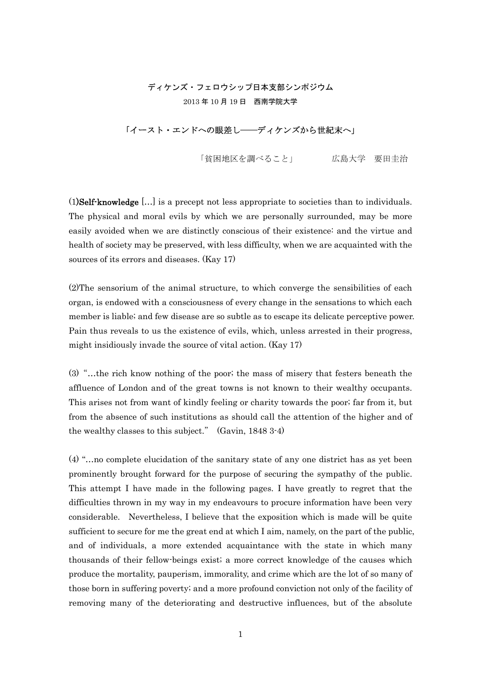# ディケンズ・フェロウシップ日本支部シンポジウム 2013 年 10 月 19 日 西南学院大学

## 「イースト・エンドへの眼差し――ディケンズから世紀末へ」

「貧困地区を調べること」 広島大学 要田圭治

(1)Self-knowledge […] is a precept not less appropriate to societies than to individuals. The physical and moral evils by which we are personally surrounded, may be more easily avoided when we are distinctly conscious of their existence: and the virtue and health of society may be preserved, with less difficulty, when we are acquainted with the sources of its errors and diseases. (Kay 17)

(2)The sensorium of the animal structure, to which converge the sensibilities of each organ, is endowed with a consciousness of every change in the sensations to which each member is liable; and few disease are so subtle as to escape its delicate perceptive power. Pain thus reveals to us the existence of evils, which, unless arrested in their progress, might insidiously invade the source of vital action. (Kay 17)

(3)"…the rich know nothing of the poor; the mass of misery that festers beneath the affluence of London and of the great towns is not known to their wealthy occupants. This arises not from want of kindly feeling or charity towards the poor; far from it, but from the absence of such institutions as should call the attention of the higher and of the wealthy classes to this subject." (Gavin, 1848 3-4)

(4) "…no complete elucidation of the sanitary state of any one district has as yet been prominently brought forward for the purpose of securing the sympathy of the public. This attempt I have made in the following pages. I have greatly to regret that the difficulties thrown in my way in my endeavours to procure information have been very considerable. Nevertheless, I believe that the exposition which is made will be quite sufficient to secure for me the great end at which I aim, namely, on the part of the public, and of individuals, a more extended acquaintance with the state in which many thousands of their fellow-beings exist; a more correct knowledge of the causes which produce the mortality, pauperism, immorality, and crime which are the lot of so many of those born in suffering poverty; and a more profound conviction not only of the facility of removing many of the deteriorating and destructive influences, but of the absolute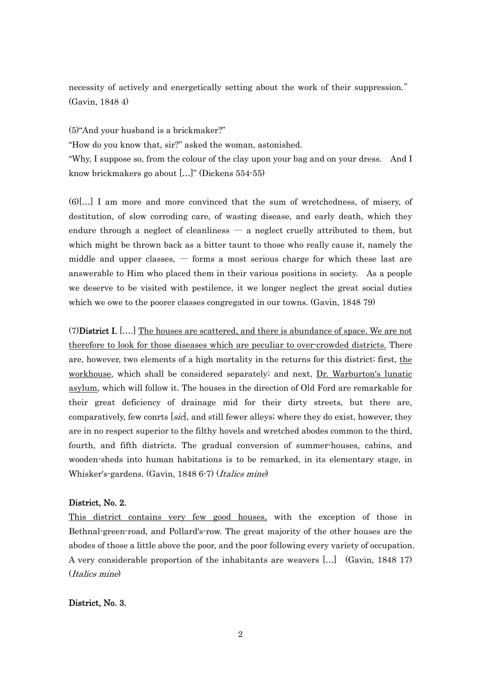necessity of actively and energetically setting about the work of their suppression." (Gavin, 1848 4)

(5)"And your husband is a brickmaker?"

"How do you know that, sir?" asked the woman, astonished.

"Why, I suppose so, from the colour of the clay upon your bag and on your dress. And I know brickmakers go about […]" (Dickens 554-55)

(6)[…] I am more and more convinced that the sum of wretchedness, of misery, of destitution, of slow corroding care, of wasting disease, and early death, which they endure through a neglect of cleanliness  $-$  a neglect cruelly attributed to them, but which might be thrown back as a bitter taunt to those who really cause it, namely the middle and upper classes,  $-$  forms a most serious charge for which these last are answerable to Him who placed them in their various positions in society. As a people we deserve to be visited with pestilence, it we longer neglect the great social duties which we owe to the poorer classes congregated in our towns. (Gavin, 1848 79)

(7)District I. [….] The houses are scattered, and there is abundance of space. We are not therefore to look for those diseases which are peculiar to over-crowded districts. There are, however, two elements of a high mortality in the returns for this district; first, the workhouse, which shall be considered separately; and next, Dr. Warburton's lunatic asylum, which will follow it. The houses in the direction of Old Ford are remarkable for their great deficiency of drainage mid for their dirty streets, but there are, comparatively, few conrts [sic], and still fewer alleys; where they do exist, however, they are in no respect superior to the filthy hovels and wretched abodes common to the third, fourth, and fifth districts. The gradual conversion of summer-houses, cabins, and wooden-sheds into human habitations is to be remarked, in its elementary stage, in Whisker's-gardens. (Gavin, 1848 6-7) (Italics mine)

### District, No. 2.

This district contains very few good houses, with the exception of those in Bethnal-green-road, and Pollard's-row. The great majority of the other houses are the abodes of those a little above the poor, and the poor following every variety of occupation. A very considerable proportion of the inhabitants are weavers […] (Gavin, 1848 17) (Italics mine)

#### District, No. 3.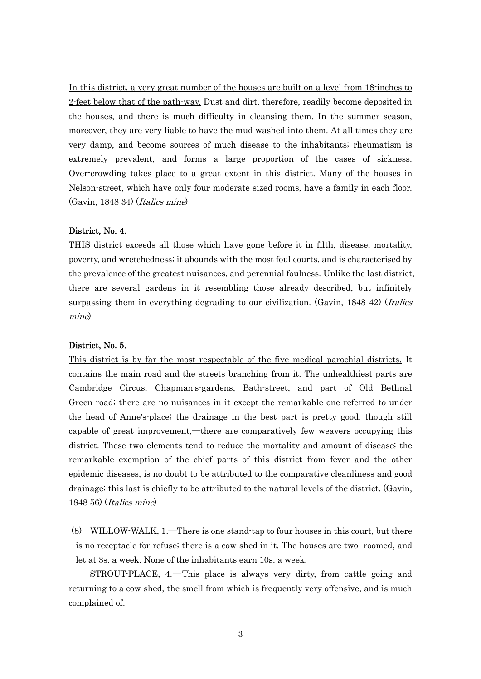In this district, a very great number of the houses are built on a level from 18-inches to 2-feet below that of the path-way. Dust and dirt, therefore, readily become deposited in the houses, and there is much difficulty in cleansing them. In the summer season, moreover, they are very liable to have the mud washed into them. At all times they are very damp, and become sources of much disease to the inhabitants; rheumatism is extremely prevalent, and forms a large proportion of the cases of sickness. Over-crowding takes place to a great extent in this district. Many of the houses in Nelson-street, which have only four moderate sized rooms, have a family in each floor. (Gavin, 1848 34) (Italics mine)

#### District, No. 4.

THIS district exceeds all those which have gone before it in filth, disease, mortality, poverty, and wretchedness; it abounds with the most foul courts, and is characterised by the prevalence of the greatest nuisances, and perennial foulness. Unlike the last district, there are several gardens in it resembling those already described, but infinitely surpassing them in everything degrading to our civilization. (Gavin, 1848 42) (*Italics* mine)

#### District, No. 5.

This district is by far the most respectable of the five medical parochial districts. It contains the main road and the streets branching from it. The unhealthiest parts are Cambridge Circus, Chapman's-gardens, Bath-street, and part of Old Bethnal Green-road; there are no nuisances in it except the remarkable one referred to under the head of Anne's-place; the drainage in the best part is pretty good, though still capable of great improvement,―there are comparatively few weavers occupying this district. These two elements tend to reduce the mortality and amount of disease; the remarkable exemption of the chief parts of this district from fever and the other epidemic diseases, is no doubt to be attributed to the comparative cleanliness and good drainage; this last is chiefly to be attributed to the natural levels of the district. (Gavin, 1848 56) (Italics mine)

(8) WILLOW-WALK, 1.―There is one stand-tap to four houses in this court, but there is no receptacle for refuse; there is a cow-shed in it. The houses are two- roomed, and let at 3s. a week. None of the inhabitants earn 10s. a week.

STROUT-PLACE, 4.―This place is always very dirty, from cattle going and returning to a cow-shed, the smell from which is frequently very offensive, and is much complained of.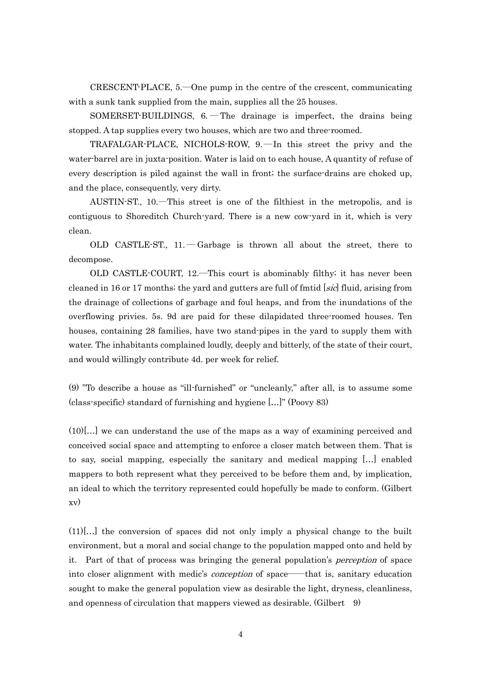CRESCENT-PLACE, 5.―One pump in the centre of the crescent, communicating with a sunk tank supplied from the main, supplies all the 25 houses.

SOMERSET-BUILDINGS,  $6.$  – The drainage is imperfect, the drains being stopped. A tap supplies every two houses, which are two and three-roomed.

TRAFALGAR-PLACE, NICHOLS-ROW, 9.―In this street the privy and the water-barrel are in juxta-position. Water is laid on to each house, A quantity of refuse of every description is piled against the wall in front; the surface-drains are choked up, and the place, consequently, very dirty.

AUSTIN-ST., 10.―This street is one of the filthiest in the metropolis, and is contiguous to Shoreditch Church-yard. There is a new cow-yard in it, which is very clean.

OLD CASTLE-ST.,  $11. -$ Garbage is thrown all about the street, there to decompose.

OLD CASTLE-COURT, 12.―This court is abominably filthy; it has never been cleaned in 16 or 17 months; the yard and gutters are full of finitial  $[sic]$  fluid, arising from the drainage of collections of garbage and foul heaps, and from the inundations of the overflowing privies. 5s. 9d are paid for these dilapidated three-roomed houses. Ten houses, containing 28 families, have two stand-pipes in the yard to supply them with water. The inhabitants complained loudly, deeply and bitterly, of the state of their court, and would willingly contribute 4d. per week for relief.

(9) "To describe a house as "ill-furnished" or "uncleanly," after all, is to assume some (class-specific) standard of furnishing and hygiene […]" (Poovy 83)

 $(10)[...]$  we can understand the use of the maps as a way of examining perceived and conceived social space and attempting to enforce a closer match between them. That is to say, social mapping, especially the sanitary and medical mapping […] enabled mappers to both represent what they perceived to be before them and, by implication, an ideal to which the territory represented could hopefully be made to conform. (Gilbert xv)

(11)[…] the conversion of spaces did not only imply a physical change to the built environment, but a moral and social change to the population mapped onto and held by it. Part of that of process was bringing the general population's perception of space into closer alignment with medic's *conception* of space——that is, sanitary education sought to make the general population view as desirable the light, dryness, cleanliness, and openness of circulation that mappers viewed as desirable. (Gilbert 9)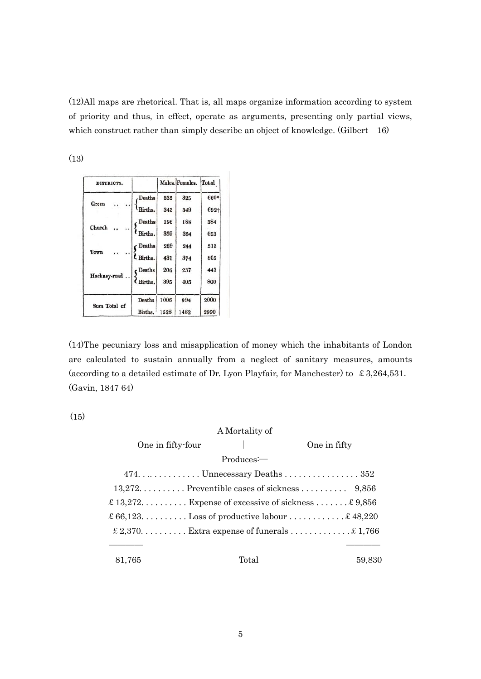(12)All maps are rhetorical. That is, all maps organize information according to system of priority and thus, in effect, operate as arguments, presenting only partial views, which construct rather than simply describe an object of knowledge. (Gilbert 16)

(13)

| DISTRICTS.   |               |      | Males. Females. | Total |
|--------------|---------------|------|-----------------|-------|
| Green        | .Deaths       | 335  | 325             | 660*  |
|              | Births.       | 343  | 349             | 692+  |
| Church       | . Deaths      | 196  | 188             | 384   |
|              | Births.       | 359  | 334             | 693   |
| Town         | CDeaths       | 269  | 244             | 513   |
|              | L Births.     | 431  | 374             | 805   |
| Hackney-road | CDeaths       | 206  | 237             | 443   |
|              | (Births.      | 395  | 405             | 800   |
| Sum Total of | <b>Deaths</b> | 1006 | 994             | 2000  |
|              | Births.       | 1528 | 1462            | 2990  |

(14)The pecuniary loss and misapplication of money which the inhabitants of London are calculated to sustain annually from a neglect of sanitary measures, amounts (according to a detailed estimate of Dr. Lyon Playfair, for Manchester) to £3,264,531. (Gavin, 1847 64)

(15)

|                                                   | A Mortality of |                                                               |
|---------------------------------------------------|----------------|---------------------------------------------------------------|
| One in fifty-four                                 |                | One in fifty                                                  |
|                                                   | $Produces =$   |                                                               |
|                                                   |                |                                                               |
|                                                   |                | $13,272,\ldots,\ldots$ . Preventible cases of sickness  9,856 |
| £ 13,272 Expense of excessive of sickness £ 9,856 |                |                                                               |
| £ 66,123. Loss of productive labour £ 48,220      |                |                                                               |
|                                                   |                | £ 2,370 Extra expense of funerals  £ 1,766                    |
|                                                   |                |                                                               |
| 81,765                                            | Total          | 59.830                                                        |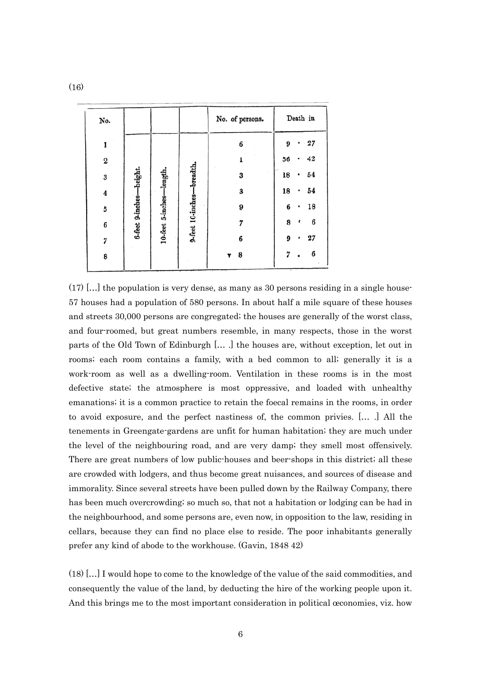| No. |                         |                   |                   | No. of persons. |    | Death in |
|-----|-------------------------|-------------------|-------------------|-----------------|----|----------|
| 1   |                         |                   |                   | 6               | 9  | 27       |
| 2   |                         |                   |                   |                 | 56 | 42       |
| 3   |                         | -length.          | -breadth.         | 3               | 18 | 54       |
| 4   |                         |                   |                   | 3               | 18 | 54       |
| 5   |                         |                   |                   | 9               | 6  | 18       |
| 6   | 6-feet 9-inches-height. | 10-feet 5-inches- | 9-feet 10-inches- |                 | 8  | 6        |
| 7   |                         |                   |                   | 6               | 9  | 27       |
| 8   |                         |                   |                   | 8               |    | 6        |

 $(17)$  [...] the population is very dense, as many as 30 persons residing in a single house-57 houses had a population of 580 persons. In about half a mile square of these houses and streets 30,000 persons are congregated; the houses are generally of the worst class, and four-roomed, but great numbers resemble, in many respects, those in the worst parts of the Old Town of Edinburgh [… .] the houses are, without exception, let out in rooms; each room contains a family, with a bed common to all; generally it is a work-room as well as a dwelling-room. Ventilation in these rooms is in the most defective state; the atmosphere is most oppressive, and loaded with unhealthy emanations; it is a common practice to retain the foecal remains in the rooms, in order to avoid exposure, and the perfect nastiness of, the common privies. [… .] All the tenements in Greengate-gardens are unfit for human habitation; they are much under the level of the neighbouring road, and are very damp; they smell most offensively. There are great numbers of low public-houses and beer-shops in this district; all these are crowded with lodgers, and thus become great nuisances, and sources of disease and immorality. Since several streets have been pulled down by the Railway Company, there has been much overcrowding; so much so, that not a habitation or lodging can be had in the neighbourhood, and some persons are, even now, in opposition to the law, residing in cellars, because they can find no place else to reside. The poor inhabitants generally prefer any kind of abode to the workhouse. (Gavin, 1848 42)

(18) […] I would hope to come to the knowledge of the value of the said commodities, and consequently the value of the land, by deducting the hire of the working people upon it. And this brings me to the most important consideration in political œconomies, viz. how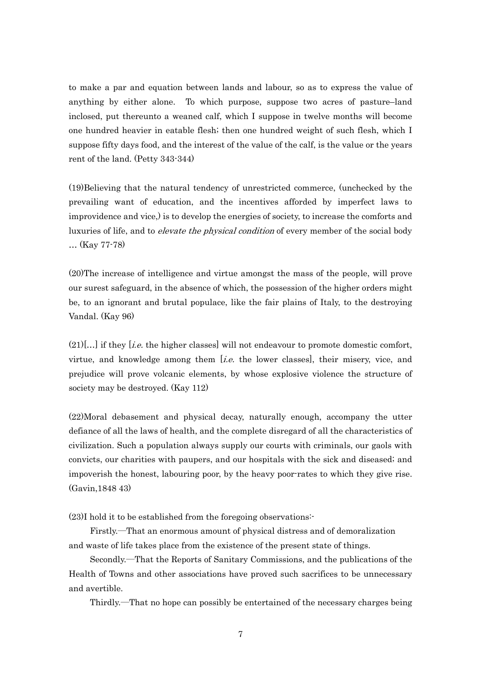to make a par and equation between lands and labour, so as to express the value of anything by either alone. To which purpose, suppose two acres of pasture–land inclosed, put thereunto a weaned calf, which I suppose in twelve months will become one hundred heavier in eatable flesh; then one hundred weight of such flesh, which I suppose fifty days food, and the interest of the value of the calf, is the value or the years rent of the land. (Petty 343-344)

(19)Believing that the natural tendency of unrestricted commerce, (unchecked by the prevailing want of education, and the incentives afforded by imperfect laws to improvidence and vice,) is to develop the energies of society, to increase the comforts and luxuries of life, and to *elevate the physical condition* of every member of the social body … (Kay 77-78)

(20)The increase of intelligence and virtue amongst the mass of the people, will prove our surest safeguard, in the absence of which, the possession of the higher orders might be, to an ignorant and brutal populace, like the fair plains of Italy, to the destroying Vandal. (Kay 96)

 $(21)[...]$  if they [*i.e.* the higher classes] will not endeavour to promote domestic comfort, virtue, and knowledge among them [*i.e.* the lower classes], their misery, vice, and prejudice will prove volcanic elements, by whose explosive violence the structure of society may be destroyed. (Kay 112)

(22)Moral debasement and physical decay, naturally enough, accompany the utter defiance of all the laws of health, and the complete disregard of all the characteristics of civilization. Such a population always supply our courts with criminals, our gaols with convicts, our charities with paupers, and our hospitals with the sick and diseased; and impoverish the honest, labouring poor, by the heavy poor-rates to which they give rise. (Gavin,1848 43)

(23)I hold it to be established from the foregoing observations:-

 Firstly.―That an enormous amount of physical distress and of demoralization and waste of life takes place from the existence of the present state of things.

Secondly.―That the Reports of Sanitary Commissions, and the publications of the Health of Towns and other associations have proved such sacrifices to be unnecessary and avertible.

Thirdly.―That no hope can possibly be entertained of the necessary charges being